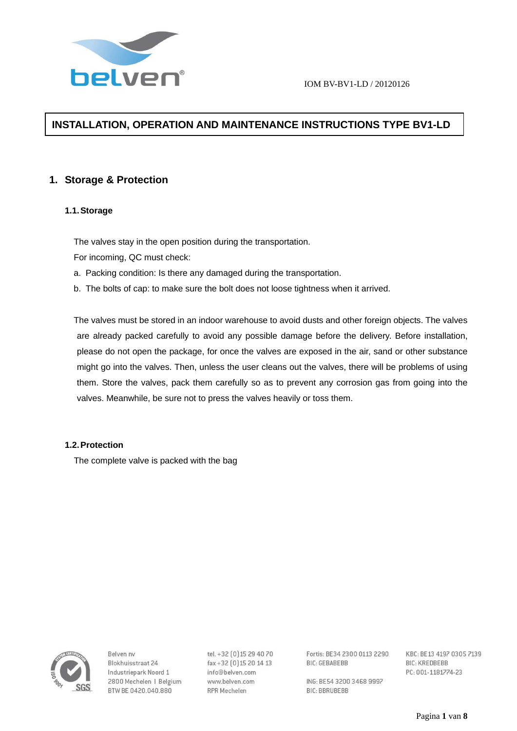

# **INSTALLATION, OPERATION AND MAINTENANCE INSTRUCTIONS TYPE BV1-LD**

# **1. Storage & Protection**

# **1.1. Storage**

The valves stay in the open position during the transportation.

For incoming, QC must check:

- a. Packing condition: Is there any damaged during the transportation.
- b. The bolts of cap: to make sure the bolt does not loose tightness when it arrived.

The valves must be stored in an indoor warehouse to avoid dusts and other foreign objects. The valves are already packed carefully to avoid any possible damage before the delivery. Before installation, please do not open the package, for once the valves are exposed in the air, sand or other substance might go into the valves. Then, unless the user cleans out the valves, there will be problems of using them. Store the valves, pack them carefully so as to prevent any corrosion gas from going into the valves. Meanwhile, be sure not to press the valves heavily or toss them.

# **1.2. Protection**

The complete valve is packed with the bag



Relven ny Blokhuisstraat 24 Industriepark Noord 1 2800 Mechelen | Belgium BTW BE 0420.040.880

tel. +32 [0] 15 29 40 70 fax+32 [0] 15 20 14 13 info@belven.com www.belven.com **RPR Mechelen** 

Fortis: BE34 2300 0113 2290 **BIC: GEBABEBB** 

ING: BE54 3200 3468 9997 **BIC: BBRUBEBB**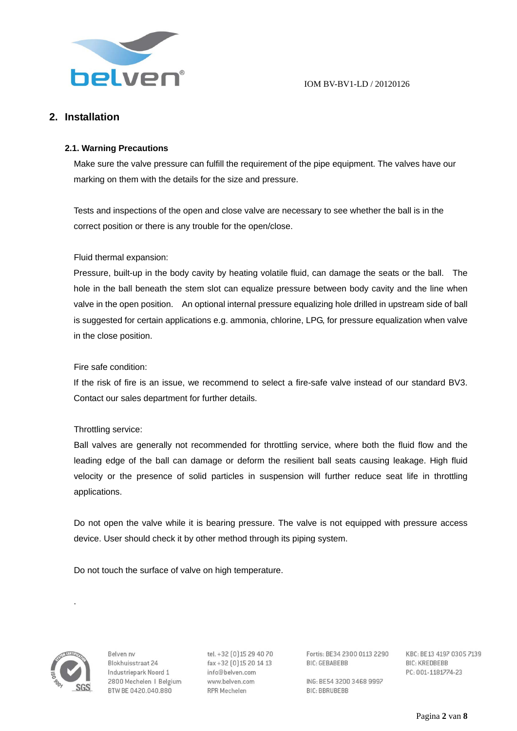

# **2. Installation**

# **2.1. Warning Precautions**

Make sure the valve pressure can fulfill the requirement of the pipe equipment. The valves have our marking on them with the details for the size and pressure.

Tests and inspections of the open and close valve are necessary to see whether the ball is in the correct position or there is any trouble for the open/close.

# Fluid thermal expansion:

Pressure, built-up in the body cavity by heating volatile fluid, can damage the seats or the ball. The hole in the ball beneath the stem slot can equalize pressure between body cavity and the line when valve in the open position. An optional internal pressure equalizing hole drilled in upstream side of ball is suggested for certain applications e.g. ammonia, chlorine, LPG, for pressure equalization when valve in the close position.

# Fire safe condition:

If the risk of fire is an issue, we recommend to select a fire-safe valve instead of our standard BV3. Contact our sales department for further details.

# Throttling service:

Ball valves are generally not recommended for throttling service, where both the fluid flow and the leading edge of the ball can damage or deform the resilient ball seats causing leakage. High fluid velocity or the presence of solid particles in suspension will further reduce seat life in throttling applications.

Do not open the valve while it is bearing pressure. The valve is not equipped with pressure access device. User should check it by other method through its piping system.

Do not touch the surface of valve on high temperature.



.

Relven ny Blokhuisstraat 24 Industriepark Noord 1 2800 Mechelen | Belgium BTW BE 0420.040.880

tel. +32 [0] 15 29 40 70 fax+32 [0] 15 20 14 13 info@belven.com www.belven.com **RPR Mechelen** 

Fortis: BE34 2300 0113 2290 **BIC: GEBABEBB** 

ING: BE54 3200 3468 9997 **BIC: BBRUBEBB**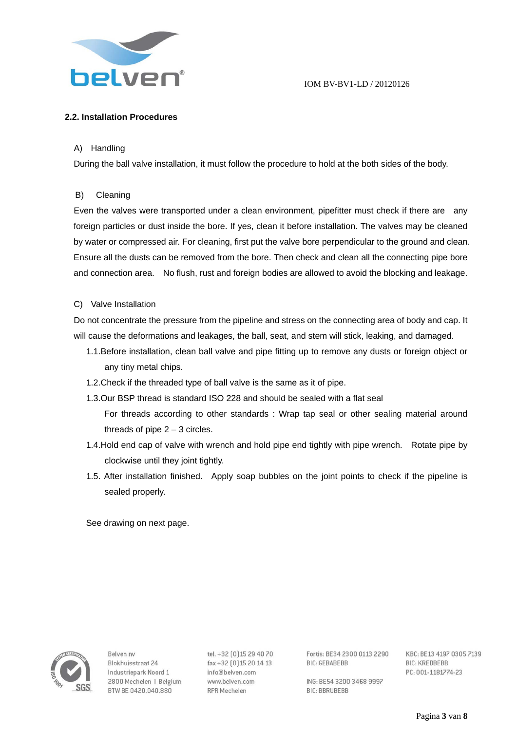

# **2.2. Installation Procedures**

### A) Handling

During the ball valve installation, it must follow the procedure to hold at the both sides of the body.

#### B) Cleaning

Even the valves were transported under a clean environment, pipefitter must check if there are any foreign particles or dust inside the bore. If yes, clean it before installation. The valves may be cleaned by water or compressed air. For cleaning, first put the valve bore perpendicular to the ground and clean. Ensure all the dusts can be removed from the bore. Then check and clean all the connecting pipe bore and connection area. No flush, rust and foreign bodies are allowed to avoid the blocking and leakage.

#### C) Valve Installation

Do not concentrate the pressure from the pipeline and stress on the connecting area of body and cap. It will cause the deformations and leakages, the ball, seat, and stem will stick, leaking, and damaged.

- 1.1.Before installation, clean ball valve and pipe fitting up to remove any dusts or foreign object or any tiny metal chips.
- 1.2.Check if the threaded type of ball valve is the same as it of pipe.
- 1.3.Our BSP thread is standard ISO 228 and should be sealed with a flat seal
	- For threads according to other standards : Wrap tap seal or other sealing material around threads of pipe  $2 - 3$  circles.
- 1.4.Hold end cap of valve with wrench and hold pipe end tightly with pipe wrench. Rotate pipe by clockwise until they joint tightly.
- 1.5. After installation finished. Apply soap bubbles on the joint points to check if the pipeline is sealed properly.

See drawing on next page.



Relven ny Blokhuisstraat 24 Industriepark Noord 1 2800 Mechelen | Belgium BTW BE 0420.040.880

tel. +32 [0] 15 29 40 70 fax+32 [0] 15 20 14 13 info@belven.com www.belven.com **RPR Mechelen** 

Fortis: BE34 2300 0113 2290 **RIC-GERARERR** 

ING: BE54 3200 3468 9997 **BIC: BBRUBEBB**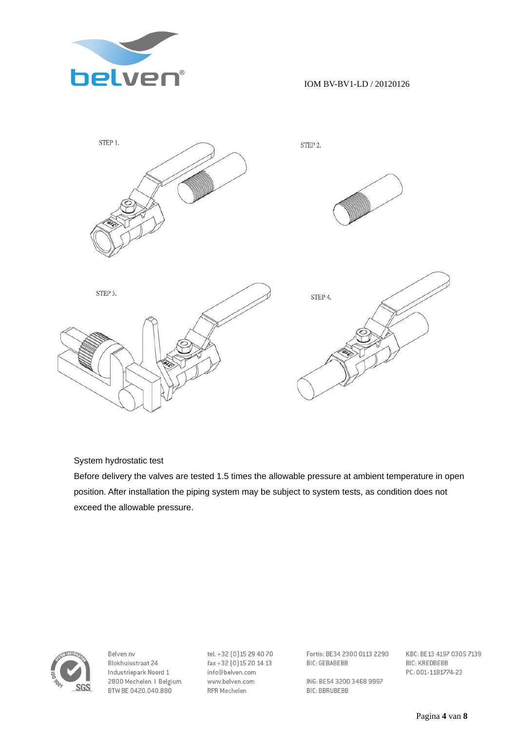



# System hydrostatic test

Before delivery the valves are tested 1.5 times the allowable pressure at ambient temperature in open position. After installation the piping system may be subject to system tests, as condition does not exceed the allowable pressure.



Belven nv Blokhuisstraat 24 Industriepark Noord 1 2800 Mechelen | Belgium BTW BE 0420.040.880

tel. +32 [0] 15 29 40 70 fax+32 [0] 15 20 14 13 info@belven.com www.belven.com **RPR Mechelen** 

Fortis: BE34 2300 0113 2290 **BIC: GEBABEBB** 

ING: BE54 3200 3468 9997 **BIC: BBRUBEBB**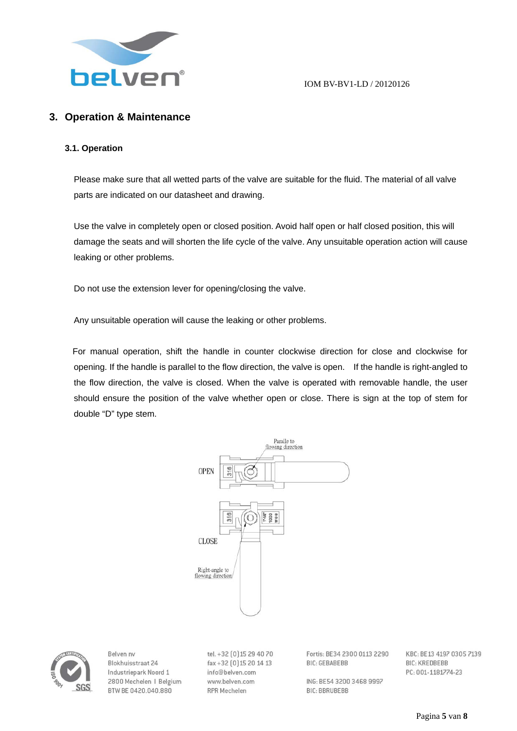

# **3. Operation & Maintenance**

#### **3.1. Operation**

Please make sure that all wetted parts of the valve are suitable for the fluid. The material of all valve parts are indicated on our datasheet and drawing.

Use the valve in completely open or closed position. Avoid half open or half closed position, this will damage the seats and will shorten the life cycle of the valve. Any unsuitable operation action will cause leaking or other problems.

Do not use the extension lever for opening/closing the valve.

Any unsuitable operation will cause the leaking or other problems.

For manual operation, shift the handle in counter clockwise direction for close and clockwise for opening. If the handle is parallel to the flow direction, the valve is open. If the handle is right-angled to the flow direction, the valve is closed. When the valve is operated with removable handle, the user should ensure the position of the valve whether open or close. There is sign at the top of stem for double "D" type stem.





Relven ny Blokhuisstraat 24 Industriepark Noord 1 2800 Mechelen | Belgium BTW BE 0420.040.880

tel. +32 [0] 15 29 40 70 fax+32 [0] 15 20 14 13 info@belven.com www.belven.com **RPR Mechelen** 

Fortis: BE34 2300 0113 2290 **BIC: GEBABEBB** 

ING: BE54 3200 3468 9997 **BIC: BBRUBEBB**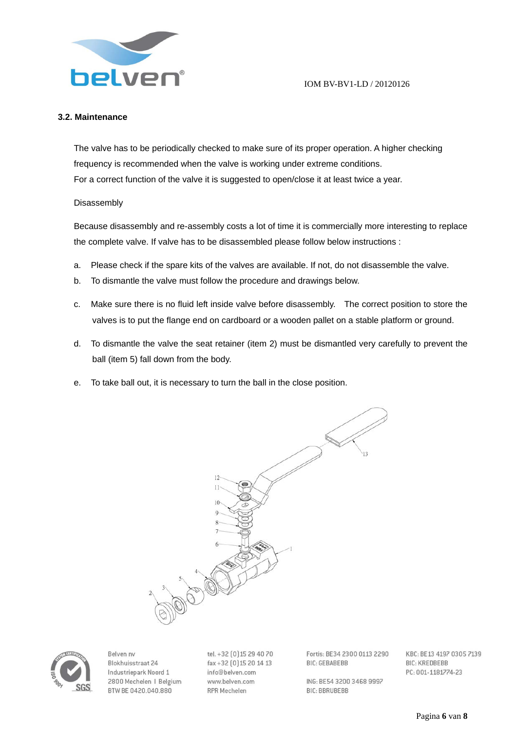

### **3.2. Maintenance**

The valve has to be periodically checked to make sure of its proper operation. A higher checking frequency is recommended when the valve is working under extreme conditions. For a correct function of the valve it is suggested to open/close it at least twice a year.

#### Disassembly

Because disassembly and re-assembly costs a lot of time it is commercially more interesting to replace the complete valve. If valve has to be disassembled please follow below instructions :

- a. Please check if the spare kits of the valves are available. If not, do not disassemble the valve.
- b. To dismantle the valve must follow the procedure and drawings below.
- c. Make sure there is no fluid left inside valve before disassembly. The correct position to store the valves is to put the flange end on cardboard or a wooden pallet on a stable platform or ground.
- d. To dismantle the valve the seat retainer (item 2) must be dismantled very carefully to prevent the ball (item 5) fall down from the body.
- e. To take ball out, it is necessary to turn the ball in the close position.





Relven ny Blokhuisstraat 24 Industriepark Noord 1 2800 Mechelen | Belgium BTW BE 0420.040.880

tel. +32 [0] 15 29 40 70 fax+32 [0] 15 20 14 13 info@belven.com www.belven.com **RPR Mechelen** 

Fortis: BE34 2300 0113 2290 **BIC: GEBABEBB** 

ING: BE54 3200 3468 9997 **BIC: BBRUBEBB**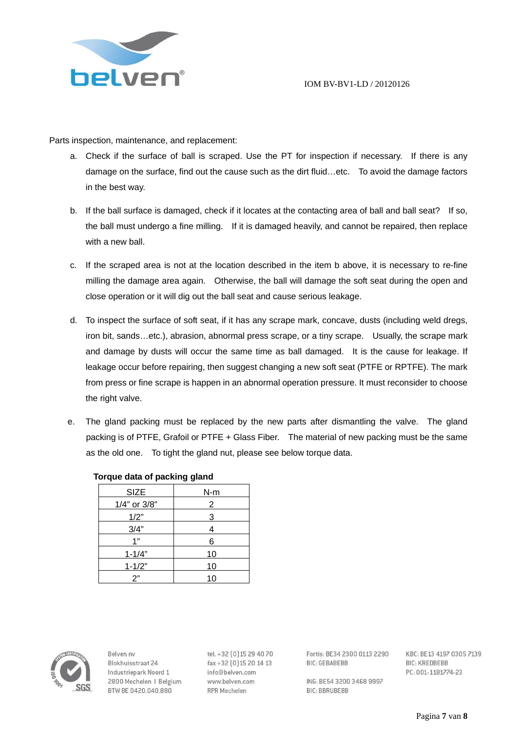

Parts inspection, maintenance, and replacement:

- a. Check if the surface of ball is scraped. Use the PT for inspection if necessary. If there is any damage on the surface, find out the cause such as the dirt fluid…etc. To avoid the damage factors in the best way.
- b. If the ball surface is damaged, check if it locates at the contacting area of ball and ball seat? If so, the ball must undergo a fine milling. If it is damaged heavily, and cannot be repaired, then replace with a new ball.
- c. If the scraped area is not at the location described in the item b above, it is necessary to re-fine milling the damage area again. Otherwise, the ball will damage the soft seat during the open and close operation or it will dig out the ball seat and cause serious leakage.
- d. To inspect the surface of soft seat, if it has any scrape mark, concave, dusts (including weld dregs, iron bit, sands…etc.), abrasion, abnormal press scrape, or a tiny scrape. Usually, the scrape mark and damage by dusts will occur the same time as ball damaged. It is the cause for leakage. If leakage occur before repairing, then suggest changing a new soft seat (PTFE or RPTFE). The mark from press or fine scrape is happen in an abnormal operation pressure. It must reconsider to choose the right valve.
- e. The gland packing must be replaced by the new parts after dismantling the valve. The gland packing is of PTFE, Grafoil or PTFE + Glass Fiber. The material of new packing must be the same as the old one. To tight the gland nut, please see below torque data.

| <b>SIZE</b>  | $N-m$ |
|--------------|-------|
| 1/4" or 3/8" | 2     |
| 1/2"         | 3     |
| 3/4"         | 4     |
| 1"           | 6     |
| $1 - 1/4"$   | 10    |
| $1 - 1/2"$   | 10    |
| 2"           | 10    |

### **Torque data of packing gland**



Relven ny Blokhuisstraat 24 Industriepark Noord 1 2800 Mechelen | Belgium BTW BE 0420.040.880

tel. +32 [0] 15 29 40 70 fax+32 [0] 15 20 14 13 info@belven.com www.belven.com **RPR Mechelen** 

Fortis: BE34 2300 0113 2290 **BIC: GEBABEBB** 

KBC: BE13 4197 0305 7139 **BIC: KREDBEBB** PC: 001-1181774-23

ING: BE54 3200 3468 9997 **BIC: BBRUBEBB**